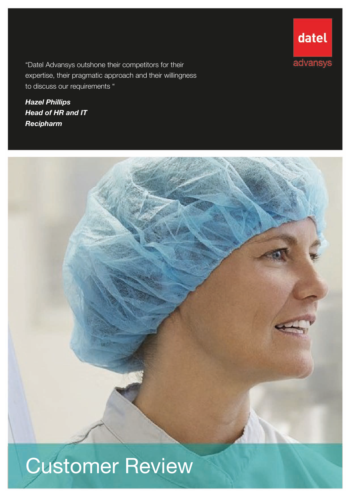"Datel Advansys outshone their competitors for their expertise, their pragmatic approach and their willingness to discuss our requirements "

*Hazel Phillips Head of HR and IT Recipharm*





# Customer Review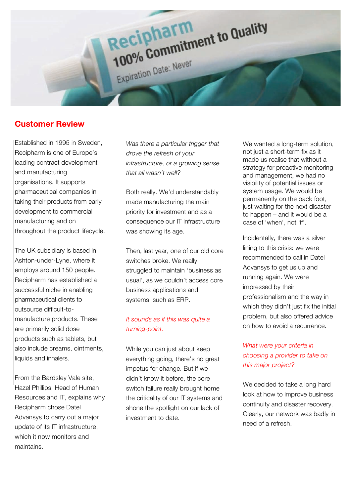

# **Customer Review**

Established in 1995 in Sweden, Recipharm is one of Europe's leading contract development and manufacturing organisations. It supports pharmaceutical companies in taking their products from early development to commercial manufacturing and on throughout the product lifecycle.

The UK subsidiary is based in Ashton-under-Lyne, where it employs around 150 people. Recipharm has established a successful niche in enabling pharmaceutical clients to outsource difficult-tomanufacture products. These are primarily solid dose products such as tablets, but also include creams, ointments, liquids and inhalers.

From the Bardsley Vale site, Hazel Phillips, Head of Human Resources and IT, explains why Recipharm chose Datel Advansys to carry out a major update of its IT infrastructure, which it now monitors and maintains.

*Was there a particular trigger that drove the refresh of your infrastructure, or a growing sense that all wasn't well?*

Both really. We'd understandably made manufacturing the main priority for investment and as a consequence our IT infrastructure was showing its age.

Then, last year, one of our old core switches broke. We really struggled to maintain 'business as usual', as we couldn't access core business applications and systems, such as ERP.

### *It sounds as if this was quite a turning-point.*

While you can just about keep everything going, there's no great impetus for change. But if we didn't know it before, the core switch failure really brought home the criticality of our IT systems and shone the spotlight on our lack of investment to date.

We wanted a long-term solution, not just a short-term fix as it made us realise that without a strategy for proactive monitoring and management, we had no visibility of potential issues or system usage. We would be permanently on the back foot, just waiting for the next disaster to happen – and it would be a case of 'when', not 'if'.

Incidentally, there was a silver lining to this crisis: we were recommended to call in Datel Advansys to get us up and running again. We were impressed by their professionalism and the way in which they didn't just fix the initial problem, but also offered advice on how to avoid a recurrence.

## *What were your criteria in choosing a provider to take on this major project?*

We decided to take a long hard look at how to improve business continuity and disaster recovery. Clearly, our network was badly in need of a refresh.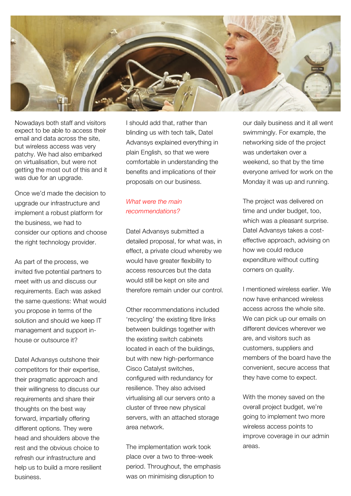

Nowadays both staff and visitors expect to be able to access their email and data across the site, but wireless access was very patchy. We had also embarked on virtualisation, but were not getting the most out of this and it was due for an upgrade.

Once we'd made the decision to upgrade our infrastructure and implement a robust platform for the business, we had to consider our options and choose the right technology provider.

As part of the process, we invited five potential partners to meet with us and discuss our requirements. Each was asked the same questions: What would you propose in terms of the solution and should we keep IT management and support inhouse or outsource it?

Datel Advansys outshone their competitors for their expertise, their pragmatic approach and their willingness to discuss our requirements and share their thoughts on the best way forward, impartially offering different options. They were head and shoulders above the rest and the obvious choice to refresh our infrastructure and help us to build a more resilient business.

I should add that, rather than blinding us with tech talk, Datel Advansys explained everything in plain English, so that we were comfortable in understanding the benefits and implications of their proposals on our business.

#### *What were the main recommendations?*

Datel Advansys submitted a detailed proposal, for what was, in effect, a private cloud whereby we would have greater flexibility to access resources but the data would still be kept on site and therefore remain under our control.

Other recommendations included 'recycling' the existing fibre links between buildings together with the existing switch cabinets located in each of the buildings, but with new high-performance Cisco Catalyst switches, configured with redundancy for resilience. They also advised virtualising all our servers onto a cluster of three new physical servers, with an attached storage area network.

The implementation work took place over a two to three-week period. Throughout, the emphasis was on minimising disruption to

our daily business and it all went swimmingly. For example, the networking side of the project was undertaken over a weekend, so that by the time everyone arrived for work on the Monday it was up and running.

The project was delivered on time and under budget, too, which was a pleasant surprise. Datel Advansys takes a costeffective approach, advising on how we could reduce expenditure without cutting corners on quality.

I mentioned wireless earlier. We now have enhanced wireless access across the whole site. We can pick up our emails on different devices wherever we are, and visitors such as customers, suppliers and members of the board have the convenient, secure access that they have come to expect.

With the money saved on the overall project budget, we're going to implement two more wireless access points to improve coverage in our admin areas.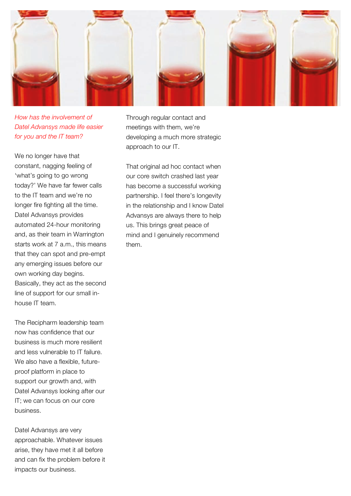

*How has the involvement of Datel Advansys made life easier for you and the IT team?*

We no longer have that constant, nagging feeling of 'what's going to go wrong today?' We have far fewer calls to the IT team and we're no longer fire fighting all the time. Datel Advansys provides automated 24-hour monitoring and, as their team in Warrington starts work at 7 a.m., this means that they can spot and pre-empt any emerging issues before our own working day begins. Basically, they act as the second line of support for our small inhouse IT team.

The Recipharm leadership team now has confidence that our business is much more resilient and less vulnerable to IT failure. We also have a flexible, futureproof platform in place to support our growth and, with Datel Advansys looking after our IT; we can focus on our core business.

Datel Advansys are very approachable. Whatever issues arise, they have met it all before and can fix the problem before it impacts our business.

Through regular contact and meetings with them, we're developing a much more strategic approach to our IT.

That original ad hoc contact when our core switch crashed last year has become a successful working partnership. I feel there's longevity in the relationship and I know Datel Advansys are always there to help us. This brings great peace of mind and I genuinely recommend them.